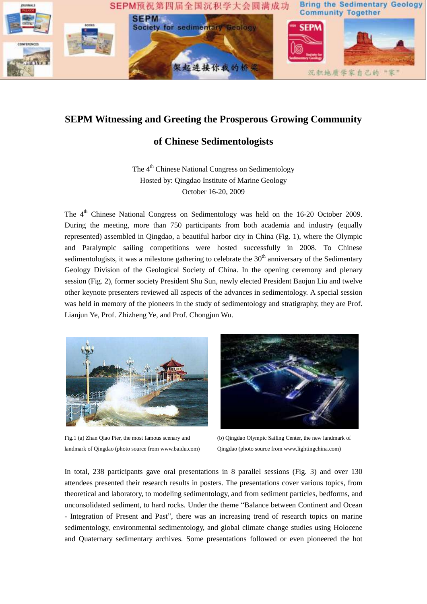

## **SEPM Witnessing and Greeting the Prosperous Growing Community**

## **of Chinese Sedimentologists**

The 4<sup>th</sup> Chinese National Congress on Sedimentology Hosted by: Qingdao Institute of Marine Geology October 16-20, 2009

The 4<sup>th</sup> Chinese National Congress on Sedimentology was held on the 16-20 October 2009. During the meeting, more than 750 participants from both academia and industry (equally represented) assembled in Qingdao, a beautiful harbor city in China (Fig. 1), where the Olympic and Paralympic sailing competitions were hosted successfully in 2008. To Chinese sedimentologists, it was a milestone gathering to celebrate the  $30<sup>th</sup>$  anniversary of the Sedimentary Geology Division of the Geological Society of China. In the opening ceremony and plenary session (Fig. 2), former society President Shu Sun, newly elected President Baojun Liu and twelve other keynote presenters reviewed all aspects of the advances in sedimentology. A special session was held in memory of the pioneers in the study of sedimentology and stratigraphy, they are Prof. Lianjun Ye, Prof. Zhizheng Ye, and Prof. Chongjun Wu.



Fig.1 (a) Zhan Qiao Pier, the most famous scenary and landmark of Qingdao (photo source from www.baidu.com)



(b) Qingdao Olympic Sailing Center, the new landmark of Qingdao (photo source from www.lightingchina.com)

In total, 238 participants gave oral presentations in 8 parallel sessions (Fig. 3) and over 130 attendees presented their research results in posters. The presentations cover various topics, from theoretical and laboratory, to modeling sedimentology, and from sediment particles, bedforms, and unconsolidated sediment, to hard rocks. Under the theme "Balance between Continent and Ocean - Integration of Present and Past", there was an increasing trend of research topics on marine sedimentology, environmental sedimentology, and global climate change studies using Holocene and Quaternary sedimentary archives. Some presentations followed or even pioneered the hot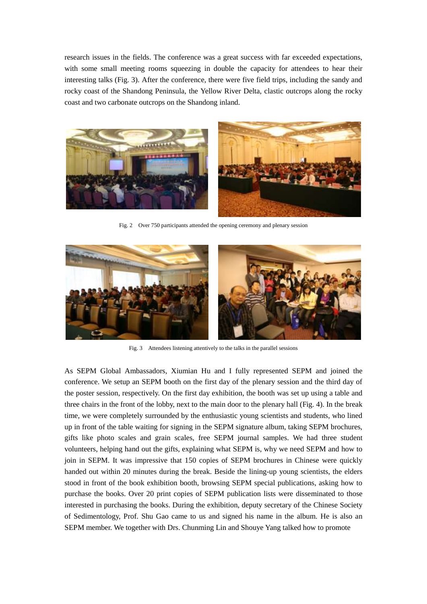research issues in the fields. The conference was a great success with far exceeded expectations, with some small meeting rooms squeezing in double the capacity for attendees to hear their interesting talks (Fig. 3). After the conference, there were five field trips, including the sandy and rocky coast of the Shandong Peninsula, the Yellow River Delta, clastic outcrops along the rocky coast and two carbonate outcrops on the Shandong inland.



Fig. 2 Over 750 participants attended the opening ceremony and plenary session



Fig. 3 Attendees listening attentively to the talks in the parallel sessions

As SEPM Global Ambassadors, Xiumian Hu and I fully represented SEPM and joined the conference. We setup an SEPM booth on the first day of the plenary session and the third day of the poster session, respectively. On the first day exhibition, the booth was set up using a table and three chairs in the front of the lobby, next to the main door to the plenary hall (Fig. 4). In the break time, we were completely surrounded by the enthusiastic young scientists and students, who lined up in front of the table waiting for signing in the SEPM signature album, taking SEPM brochures, gifts like photo scales and grain scales, free SEPM journal samples. We had three student volunteers, helping hand out the gifts, explaining what SEPM is, why we need SEPM and how to join in SEPM. It was impressive that 150 copies of SEPM brochures in Chinese were quickly handed out within 20 minutes during the break. Beside the lining-up young scientists, the elders stood in front of the book exhibition booth, browsing SEPM special publications, asking how to purchase the books. Over 20 print copies of SEPM publication lists were disseminated to those interested in purchasing the books. During the exhibition, deputy secretary of the Chinese Society of Sedimentology, Prof. Shu Gao came to us and signed his name in the album. He is also an SEPM member. We together with Drs. Chunming Lin and Shouye Yang talked how to promote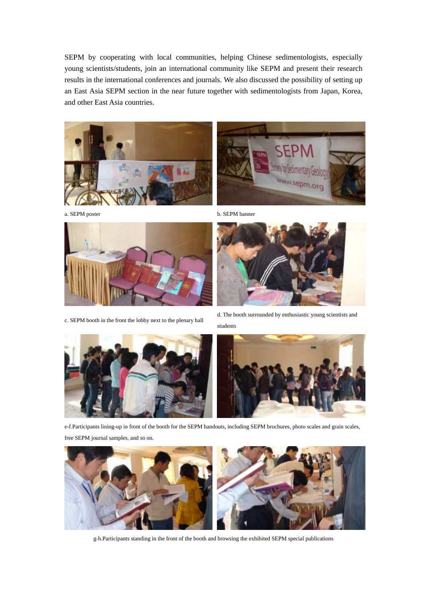SEPM by cooperating with local communities, helping Chinese sedimentologists, especially young scientists/students, join an international community like SEPM and present their research results in the international conferences and journals. We also discussed the possibility of setting up an East Asia SEPM section in the near future together with sedimentologists from Japan, Korea, and other East Asia countries.









c. SEPM booth in the front the lobby next to the plenary hall



d. The booth surrounded by enthusiastic young scientists and students





e-f.Participants lining-up in front of the booth for the SEPM handouts, including SEPM brochures, photo scales and grain scales, free SEPM journal samples, and so on.



g-h.Participants standing in the front of the booth and browsing the exhibited SEPM special publications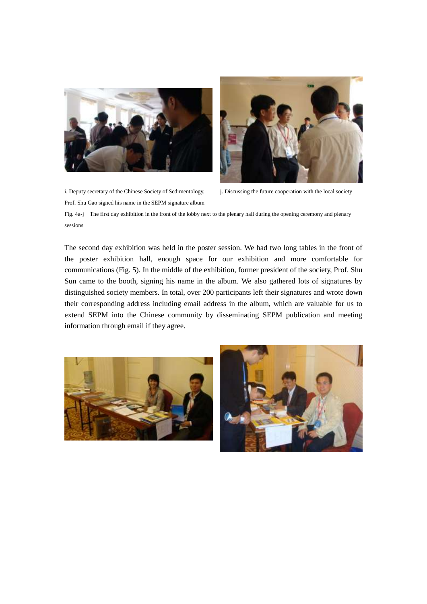



i. Deputy secretary of the Chinese Society of Sedimentology, Prof. Shu Gao signed his name in the SEPM signature album

j. Discussing the future cooperation with the local society

Fig. 4a-j The first day exhibition in the front of the lobby next to the plenary hall during the opening ceremony and plenary sessions

The second day exhibition was held in the poster session. We had two long tables in the front of the poster exhibition hall, enough space for our exhibition and more comfortable for communications (Fig. 5). In the middle of the exhibition, former president of the society, Prof. Shu Sun came to the booth, signing his name in the album. We also gathered lots of signatures by distinguished society members. In total, over 200 participants left their signatures and wrote down their corresponding address including email address in the album, which are valuable for us to extend SEPM into the Chinese community by disseminating SEPM publication and meeting information through email if they agree.